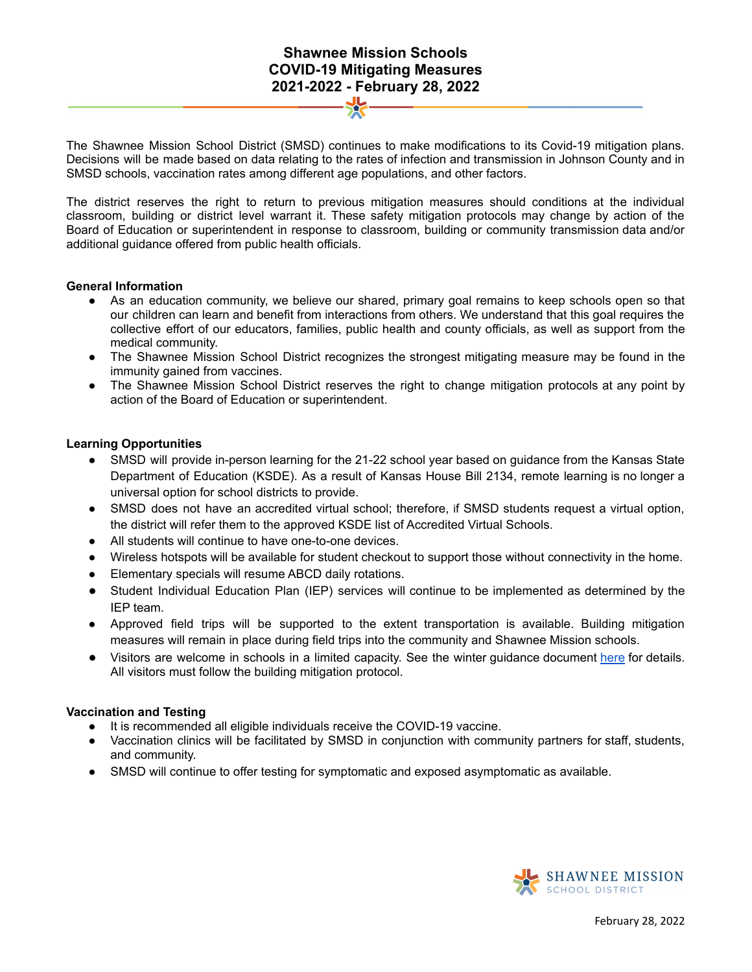# **Shawnee Mission Schools COVID-19 Mitigating Measures 2021-2022 - February 28, 2022**

The Shawnee Mission School District (SMSD) continues to make modifications to its Covid-19 mitigation plans. Decisions will be made based on data relating to the rates of infection and transmission in Johnson County and in SMSD schools, vaccination rates among different age populations, and other factors.

The district reserves the right to return to previous mitigation measures should conditions at the individual classroom, building or district level warrant it. These safety mitigation protocols may change by action of the Board of Education or superintendent in response to classroom, building or community transmission data and/or additional guidance offered from public health officials.

#### **General Information**

- As an education community, we believe our shared, primary goal remains to keep schools open so that our children can learn and benefit from interactions from others. We understand that this goal requires the collective effort of our educators, families, public health and county officials, as well as support from the medical community.
- The Shawnee Mission School District recognizes the strongest mitigating measure may be found in the immunity gained from vaccines.
- The Shawnee Mission School District reserves the right to change mitigation protocols at any point by action of the Board of Education or superintendent.

#### **Learning Opportunities**

- SMSD will provide in-person learning for the 21-22 school year based on guidance from the Kansas State Department of Education (KSDE). As a result of Kansas House Bill 2134, remote learning is no longer a universal option for school districts to provide.
- SMSD does not have an accredited virtual school; therefore, if SMSD students request a virtual option, the district will refer them to the approved KSDE list of Accredited Virtual Schools.
- **●** All students will continue to have one-to-one devices.
- Wireless hotspots will be available for student checkout to support those without connectivity in the home.
- Elementary specials will resume ABCD daily rotations.
- Student Individual Education Plan (IEP) services will continue to be implemented as determined by the IEP team.
- Approved field trips will be supported to the extent transportation is available. Building mitigation measures will remain in place during field trips into the community and Shawnee Mission schools.
- Visitors are welcome in schools in a limited capacity. See the winter guidance document [here](https://docs.google.com/document/d/1l87Mdt6K53wdBBS7R_HD9zlI5dVjWvGehYi_BO5Y1mo/edit?usp=sharing) for details. All visitors must follow the building mitigation protocol.

### **Vaccination and Testing**

- It is recommended all eligible individuals receive the COVID-19 vaccine.
- Vaccination clinics will be facilitated by SMSD in conjunction with community partners for staff, students, and community.
- SMSD will continue to offer testing for symptomatic and exposed asymptomatic as available.

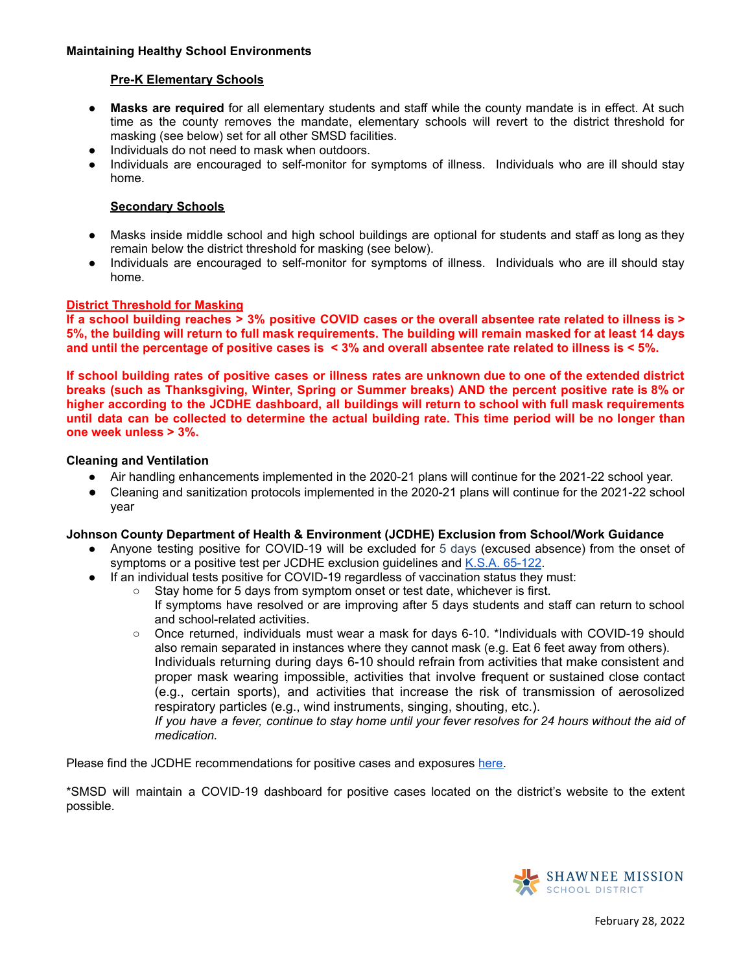## **Maintaining Healthy School Environments**

## **Pre-K Elementary Schools**

- **● Masks are required** for all elementary students and staff while the county mandate is in effect. At such time as the county removes the mandate, elementary schools will revert to the district threshold for masking (see below) set for all other SMSD facilities.
- Individuals do not need to mask when outdoors.
- Individuals are encouraged to self-monitor for symptoms of illness. Individuals who are ill should stay home.

## **Secondary Schools**

- Masks inside middle school and high school buildings are optional for students and staff as long as they remain below the district threshold for masking (see below).
- Individuals are encouraged to self-monitor for symptoms of illness. Individuals who are ill should stay home.

## **District Threshold for Masking**

If a school building reaches > 3% positive COVID cases or the overall absentee rate related to illness is > 5%, the building will return to full mask requirements. The building will remain masked for at least 14 days and until the percentage of positive cases is  $\leq$  3% and overall absentee rate related to illness is  $\leq$  5%.

If school building rates of positive cases or illness rates are unknown due to one of the extended district **breaks (such as Thanksgiving, Winter, Spring or Summer breaks) AND the percent positive rate is 8% or higher according to the JCDHE dashboard, all buildings will return to school with full mask requirements** until data can be collected to determine the actual building rate. This time period will be no longer than **one week unless > 3%.**

### **Cleaning and Ventilation**

- Air handling enhancements implemented in the 2020-21 plans will continue for the 2021-22 school year.
- Cleaning and sanitization protocols implemented in the 2020-21 plans will continue for the 2021-22 school year

### **Johnson County Department of Health & Environment (JCDHE) Exclusion from School/Work Guidance**

- Anyone testing positive for COVID-19 will be excluded for 5 days (excused absence) from the onset of symptoms or a positive test per JCDHE exclusion guidelines and K.S.A. [65-122](https://www.ksrevisor.org/statutes/chapters/ch65/065_001_0022.html).
- If an individual tests positive for COVID-19 regardless of vaccination status they must:
	- Stay home for 5 days from symptom onset or test date, whichever is first.

If symptoms have resolved or are improving after 5 days students and staff can return to school and school-related activities.

○ Once returned, individuals must wear a mask for days 6-10. \*Individuals with COVID-19 should also remain separated in instances where they cannot mask (e.g. Eat 6 feet away from others). Individuals returning during days 6-10 should refrain from activities that make consistent and proper mask wearing impossible, activities that involve frequent or sustained close contact (e.g., certain sports), and activities that increase the risk of transmission of aerosolized respiratory particles (e.g., wind instruments, singing, shouting, etc.).

If you have a fever, continue to stay home until your fever resolves for 24 hours without the aid of *medication.*

Please find the JCDHE recommendations for positive cases and exposures [here.](https://resources.finalsite.net/images/v1643074844/smsdorg/bgkwy08uzp2n0npeuq5n/COVID19StaffStudentsGuidance1-21-22.pdf)

\*SMSD will maintain a COVID-19 dashboard for positive cases located on the district's website to the extent possible.